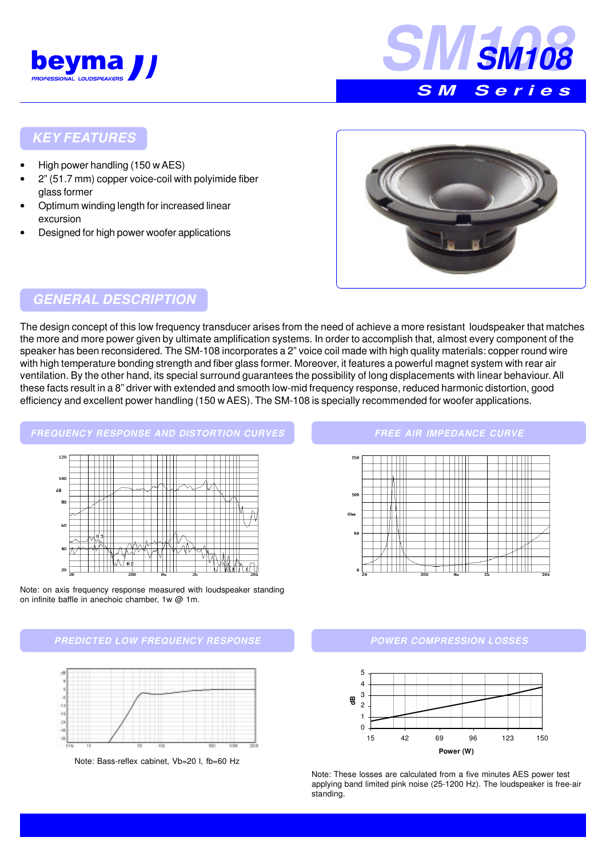



## **KEY FEATURES**

- High power handling (150 w AES)
- 2" (51.7 mm) copper voice-coil with polyimide fiber glass former
- Optimum winding length for increased linear excursion
- Designed for high power woofer applications



## **GENERAL DESCRIPTION**

The design concept of this low frequency transducer arises from the need of achieve a more resistant loudspeaker that matches the more and more power given by ultimate amplification systems. In order to accomplish that, almost every component of the speaker has been reconsidered. The SM-108 incorporates a 2" voice coil made with high quality materials: copper round wire with high temperature bonding strength and fiber glass former. Moreover, it features a powerful magnet system with rear air ventilation. By the other hand, its special surround guarantees the possibility of long displacements with linear behaviour. All these facts result in a 8" driver with extended and smooth low-mid frequency response, reduced harmonic distortion, good efficiency and excellent power handling (150 w AES). The SM-108 is specially recommended for woofer applications.



Note: on axis frequency response measured with loudspeaker standing on infinite baffle in anechoic chamber, 1w @ 1m.





Note: Bass-reflex cabinet, Vb=20 l, fb=60 Hz

#### **FREE AIR IMPEDANCE CURVE**



### **POWER COMPRESSION LOSSES**



Note: These losses are calculated from a five minutes AES power test applying band limited pink noise (25-1200 Hz). The loudspeaker is free-air standing.